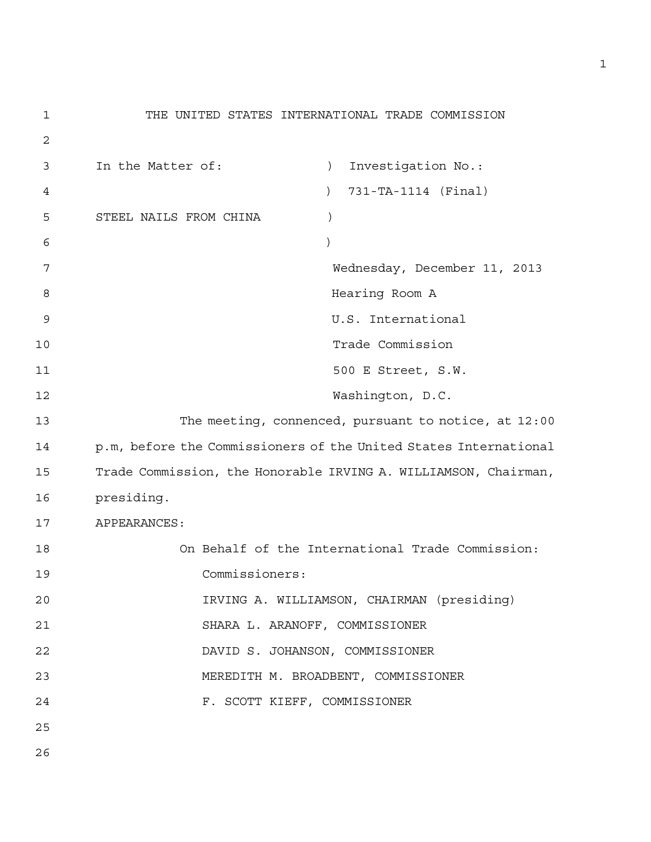```
1 THE UNITED STATES INTERNATIONAL TRADE COMMISSION 
2 
3 In the Matter of: ) Investigation No.: 
4 ) 731-TA-1114 (Final) 
5 STEEL NAILS FROM CHINA ) 
6 )
7 Wednesday, December 11, 2013 
8 Hearing Room A 
9 U.S. International 
10 Trade Commission 
11 500 E Street, S.W.
12 Washington, D.C. 
13 The meeting, connenced, pursuant to notice, at 12:00 
14 p.m, before the Commissioners of the United States International 
15 Trade Commission, the Honorable IRVING A. WILLIAMSON, Chairman, 
16 presiding. 
17 APPEARANCES: 
18 On Behalf of the International Trade Commission: 
19 Commissioners: 
20 IRVING A. WILLIAMSON, CHAIRMAN (presiding) 
21 SHARA L. ARANOFF, COMMISSIONER 
22 DAVID S. JOHANSON, COMMISSIONER 
23 MEREDITH M. BROADBENT, COMMISSIONER 
24 F. SCOTT KIEFF, COMMISSIONER 
25
```
26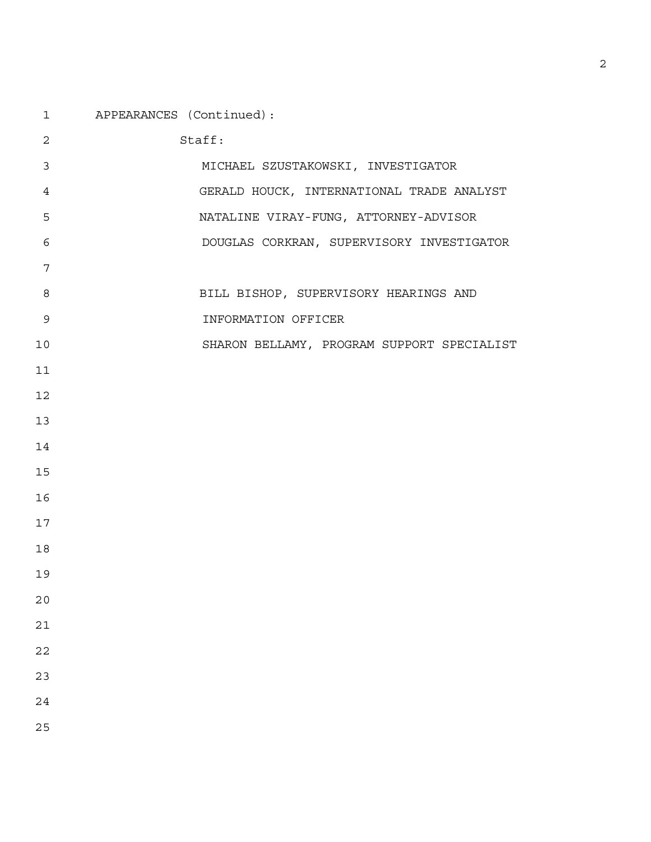| APPEARANCES (Continued): |
|--------------------------|
|                          |

| $\overline{2}$ | Staff:                                     |
|----------------|--------------------------------------------|
| 3              | MICHAEL SZUSTAKOWSKI, INVESTIGATOR         |
| 4              | GERALD HOUCK, INTERNATIONAL TRADE ANALYST  |
| 5              | NATALINE VIRAY-FUNG, ATTORNEY-ADVISOR      |
| 6              | DOUGLAS CORKRAN, SUPERVISORY INVESTIGATOR  |
| 7              |                                            |
| 8              | BILL BISHOP, SUPERVISORY HEARINGS AND      |
| $\mathsf 9$    | INFORMATION OFFICER                        |
| 10             | SHARON BELLAMY, PROGRAM SUPPORT SPECIALIST |
| 11             |                                            |
| 12             |                                            |
| 13             |                                            |
| 14             |                                            |
| 15             |                                            |
| 16             |                                            |
| 17             |                                            |
| 18             |                                            |
| 19             |                                            |
| 20             |                                            |
| 21             |                                            |
| 22             |                                            |
| 23             |                                            |
| 24             |                                            |
| 25             |                                            |
|                |                                            |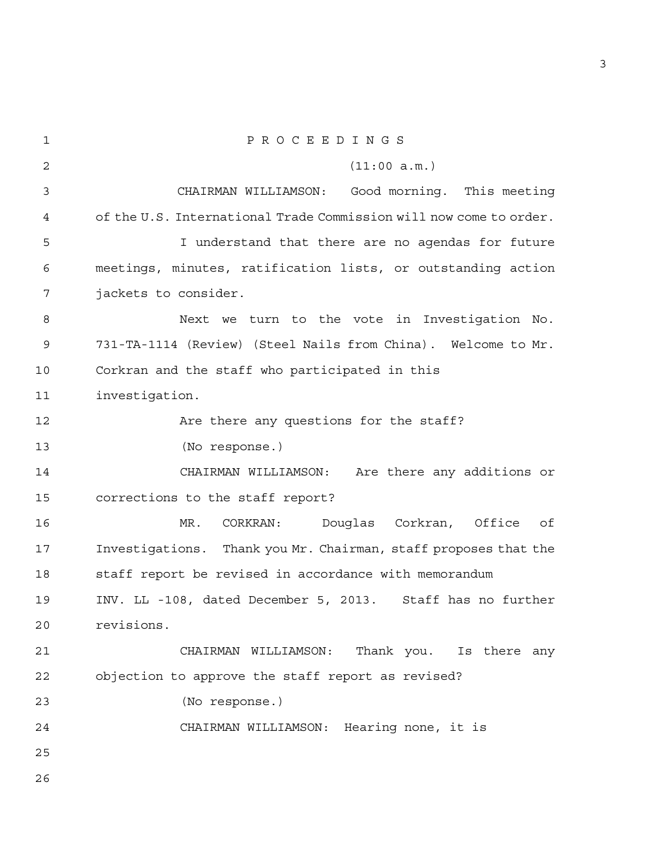1 P R O C E E D I N G S 2 (11:00 a.m.) 3 CHAIRMAN WILLIAMSON: Good morning. This meeting 4 of the U.S. International Trade Commission will now come to order. 5 I understand that there are no agendas for future 6 meetings, minutes, ratification lists, or outstanding action 7 jackets to consider. 8 Next we turn to the vote in Investigation No. 9 731-TA-1114 (Review) (Steel Nails from China). Welcome to Mr. 10 Corkran and the staff who participated in this 11 investigation. 12 Are there any questions for the staff? 13 (No response.) 14 CHAIRMAN WILLIAMSON: Are there any additions or 15 corrections to the staff report? 16 MR. CORKRAN: Douglas Corkran, Office of 17 Investigations. Thank you Mr. Chairman, staff proposes that the 18 staff report be revised in accordance with memorandum 19 INV. LL -108, dated December 5, 2013. Staff has no further 20 revisions. 21 CHAIRMAN WILLIAMSON: Thank you. Is there any 22 objection to approve the staff report as revised? 23 (No response.) 24 CHAIRMAN WILLIAMSON: Hearing none, it is 25 26

3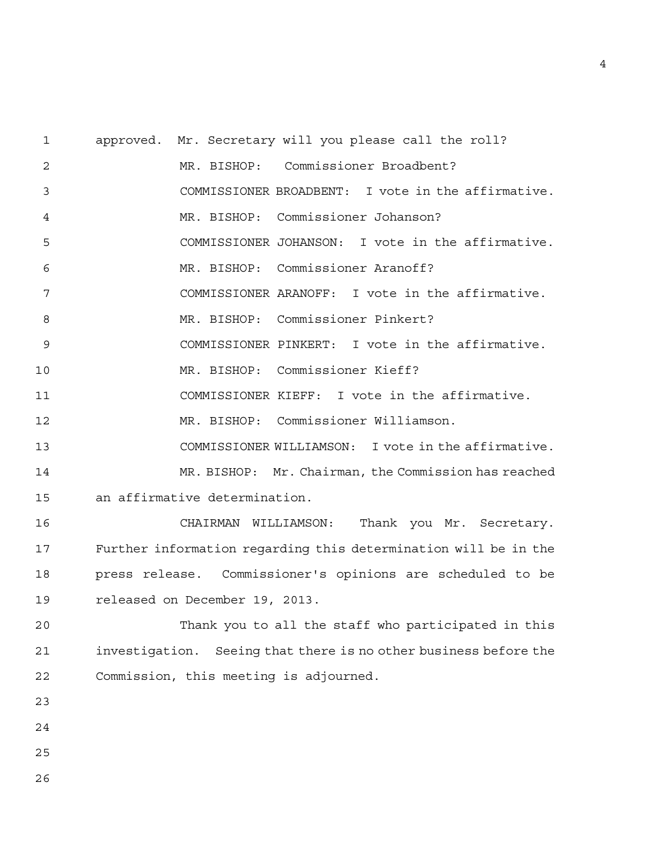1 approved. Mr. Secretary will you please call the roll? 2 MR. BISHOP: Commissioner Broadbent? 3 COMMISSIONER BROADBENT: I vote in the affirmative. 4 MR. BISHOP: Commissioner Johanson? 5 COMMISSIONER JOHANSON: I vote in the affirmative. 6 MR. BISHOP: Commissioner Aranoff? 7 COMMISSIONER ARANOFF: I vote in the affirmative. 8 MR. BISHOP: Commissioner Pinkert? 9 COMMISSIONER PINKERT: I vote in the affirmative. 10 MR. BISHOP: Commissioner Kieff? 11 COMMISSIONER KIEFF: I vote in the affirmative. 12 MR. BISHOP: Commissioner Williamson. 13 COMMISSIONER WILLIAMSON: I vote in the affirmative. 14 MR. BISHOP: Mr. Chairman, the Commission has reached 15 an affirmative determination. 16 CHAIRMAN WILLIAMSON: Thank you Mr. Secretary. 17 Further information regarding this determination will be in the 18 press release. Commissioner's opinions are scheduled to be 19 released on December 19, 2013. 20 Thank you to all the staff who participated in this 21 investigation. Seeing that there is no other business before the 22 Commission, this meeting is adjourned. 23 24 25 26

4